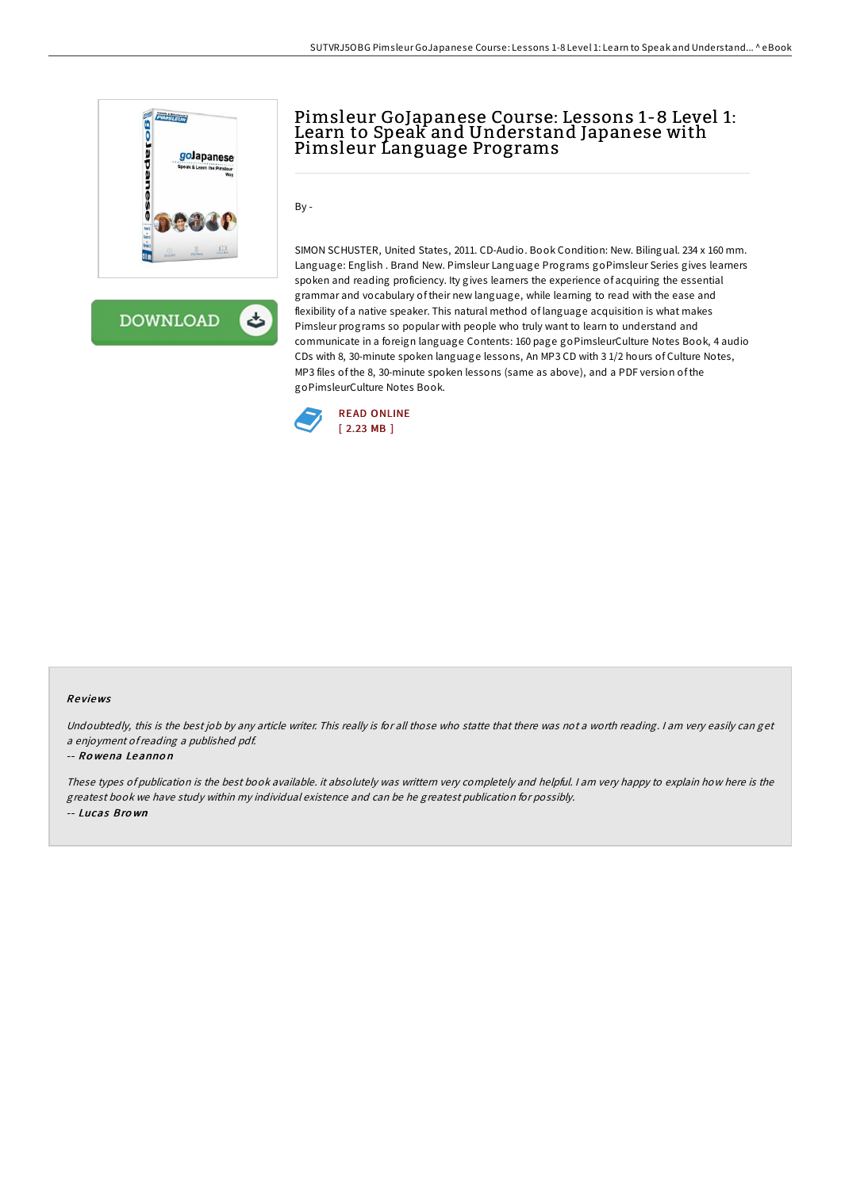

ځ **DOWNLOAD** 

## Pimsleur GoJapanese Course: Lessons 1-8 Level 1: Learn to Speak and Understand Japanese with Pimsleur Language Programs

By -

SIMON SCHUSTER, United States, 2011. CD-Audio. Book Condition: New. Bilingual. 234 x 160 mm. Language: English . Brand New. Pimsleur Language Programs goPimsleur Series gives learners spoken and reading proficiency. Ity gives learners the experience of acquiring the essential grammar and vocabulary of their new language, while learning to read with the ease and flexibility of a native speaker. This natural method of language acquisition is what makes Pimsleur programs so popular with people who truly want to learn to understand and communicate in a foreign language Contents: 160 page goPimsleurCulture Notes Book, 4 audio CDs with 8, 30-minute spoken language lessons, An MP3 CD with 3 1/2 hours of Culture Notes, MP3 files of the 8, 30-minute spoken lessons (same as above), and a PDF version of the goPimsleurCulture Notes Book.



## Re views

Undoubtedly, this is the best job by any article writer. This really is for all those who statte that there was not <sup>a</sup> worth reading. <sup>I</sup> am very easily can get <sup>a</sup> enjoyment ofreading <sup>a</sup> published pdf.

## -- Ro wena Leanno n

These types of publication is the best book available. it absolutely was writtern very completely and helpful. I am very happy to explain how here is the greatest book we have study within my individual existence and can be he greatest publication for possibly. -- Lucas Bro wn